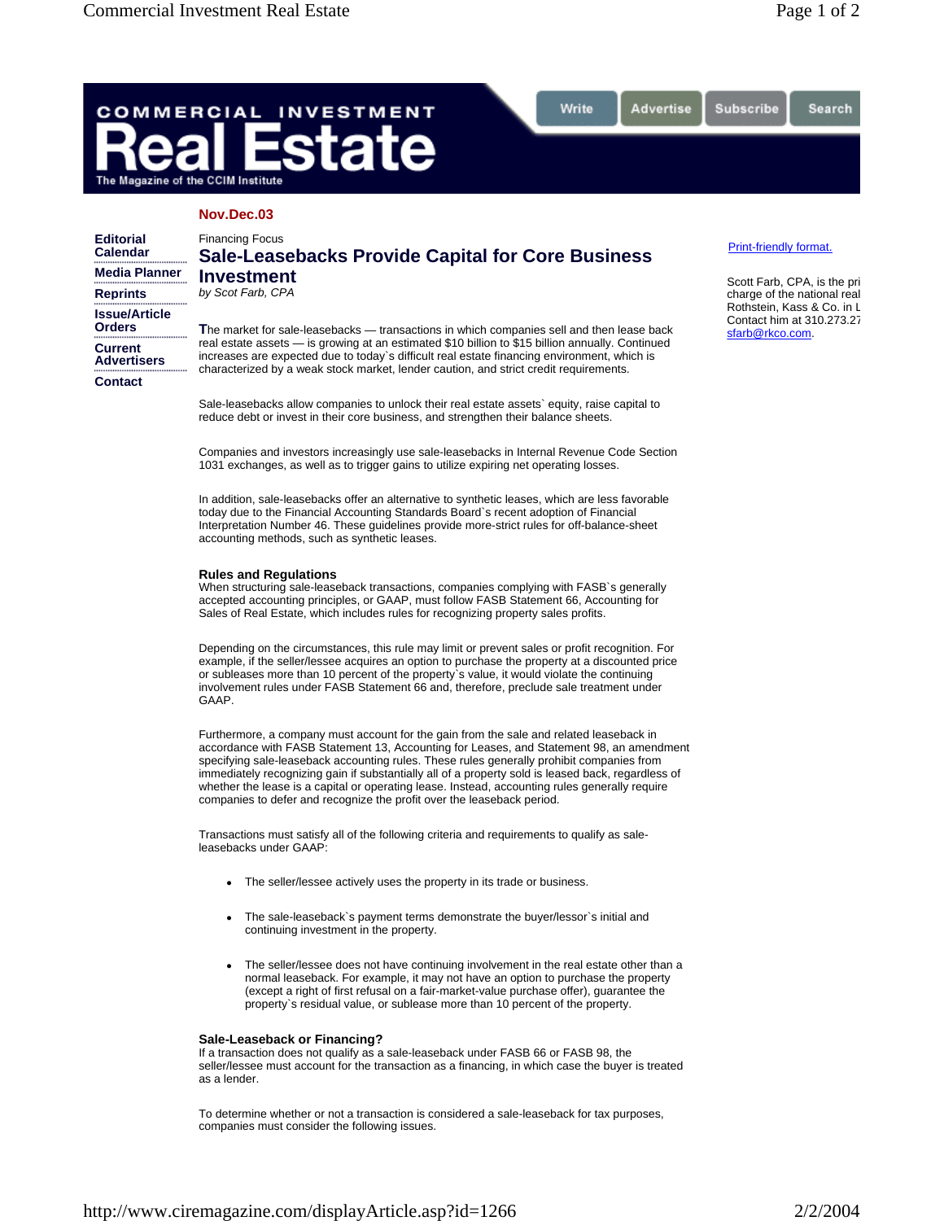Search

# COMMERCIAL **INVESTMENT** tate The Magazine of the CCIM Institute

## **Nov.Dec.03**

| <b>Editorial</b><br>Calendar   | <b>Financing Focus</b><br><b>Sale-Leasebacks Provide Capital for Core Business</b><br><b>Investment</b><br>by Scot Farb, CPA<br>The market for sale-leasebacks — transactions in which companies sell and then lease back<br>real estate assets — is growing at an estimated \$10 billion to \$15 billion annually. Continued<br>increases are expected due to today's difficult real estate financing environment, which is<br>characterized by a weak stock market, lender caution, and strict credit requirements. |
|--------------------------------|-----------------------------------------------------------------------------------------------------------------------------------------------------------------------------------------------------------------------------------------------------------------------------------------------------------------------------------------------------------------------------------------------------------------------------------------------------------------------------------------------------------------------|
| <b>Media Planner</b>           |                                                                                                                                                                                                                                                                                                                                                                                                                                                                                                                       |
| <b>Reprints</b>                |                                                                                                                                                                                                                                                                                                                                                                                                                                                                                                                       |
| <b>Issue/Article</b><br>Orders |                                                                                                                                                                                                                                                                                                                                                                                                                                                                                                                       |
| Current<br>Advertisers         |                                                                                                                                                                                                                                                                                                                                                                                                                                                                                                                       |
| Contact                        |                                                                                                                                                                                                                                                                                                                                                                                                                                                                                                                       |

Sale-leasebacks allow companies to unlock their real estate assets` equity, raise capital to reduce debt or invest in their core business, and strengthen their balance sheets.

Write

Advertise

Companies and investors increasingly use sale-leasebacks in Internal Revenue Code Section 1031 exchanges, as well as to trigger gains to utilize expiring net operating losses.

In addition, sale-leasebacks offer an alternative to synthetic leases, which are less favorable today due to the Financial Accounting Standards Board`s recent adoption of Financial Interpretation Number 46. These guidelines provide more-strict rules for off-balance-sheet accounting methods, such as synthetic leases.

### **Rules and Regulations**

When structuring sale-leaseback transactions, companies complying with FASB`s generally accepted accounting principles, or GAAP, must follow FASB Statement 66, Accounting for Sales of Real Estate, which includes rules for recognizing property sales profits.

Depending on the circumstances, this rule may limit or prevent sales or profit recognition. For example, if the seller/lessee acquires an option to purchase the property at a discounted price or subleases more than 10 percent of the property`s value, it would violate the continuing involvement rules under FASB Statement 66 and, therefore, preclude sale treatment under GAAP.

Furthermore, a company must account for the gain from the sale and related leaseback in accordance with FASB Statement 13, Accounting for Leases, and Statement 98, an amendment specifying sale-leaseback accounting rules. These rules generally prohibit companies from immediately recognizing gain if substantially all of a property sold is leased back, regardless of whether the lease is a capital or operating lease. Instead, accounting rules generally require companies to defer and recognize the profit over the leaseback period.

Transactions must satisfy all of the following criteria and requirements to qualify as saleleasebacks under GAAP:

- The seller/lessee actively uses the property in its trade or business.
- The sale-leaseback`s payment terms demonstrate the buyer/lessor`s initial and continuing investment in the property.
- The seller/lessee does not have continuing involvement in the real estate other than a normal leaseback. For example, it may not have an option to purchase the property (except a right of first refusal on a fair-market-value purchase offer), guarantee the property`s residual value, or sublease more than 10 percent of the property.

## **Sale-Leaseback or Financing?**

If a transaction does not qualify as a sale-leaseback under FASB 66 or FASB 98, the seller/lessee must account for the transaction as a financing, in which case the buyer is treated as a lender.

To determine whether or not a transaction is considered a sale-leaseback for tax purposes, companies must consider the following issues.

#### Print-friendly format.

Subscribe

Scott Farb, CPA, is the pri charge of the national real Rothstein, Kass & Co. in L Contact him at 310.273.27 sfarb@rkco.com.